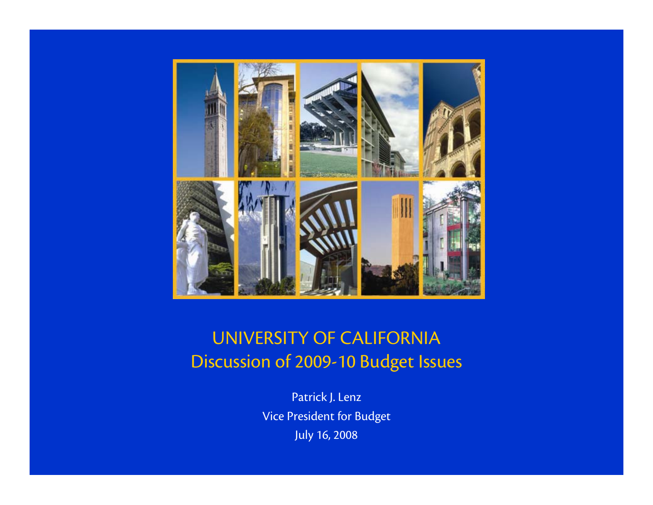

#### UNIVERSITY OF CALIFORNIA Discussion of 2009-10 Budget Issues

Patrick J. Lenz Vice President for Budget July 16, 2008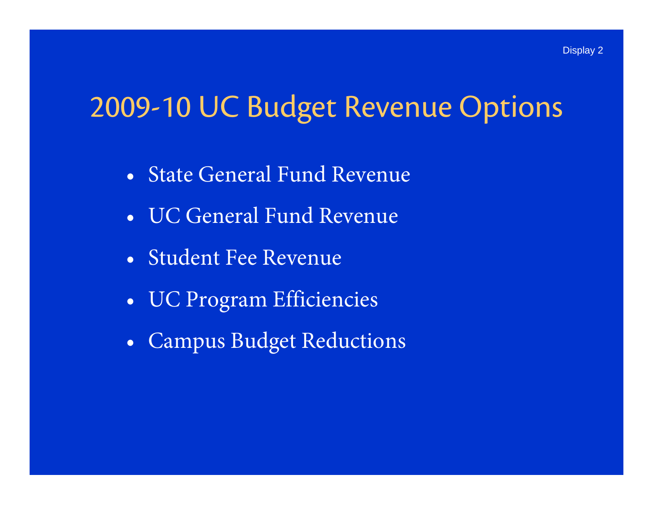## 2009-10 UC Budget Revenue Options

- State General Fund Revenue
- UC General Fund Revenue
- Student Fee Revenue
- •UC Program Efficiencies
- $\bullet$ Campus Budget Reductions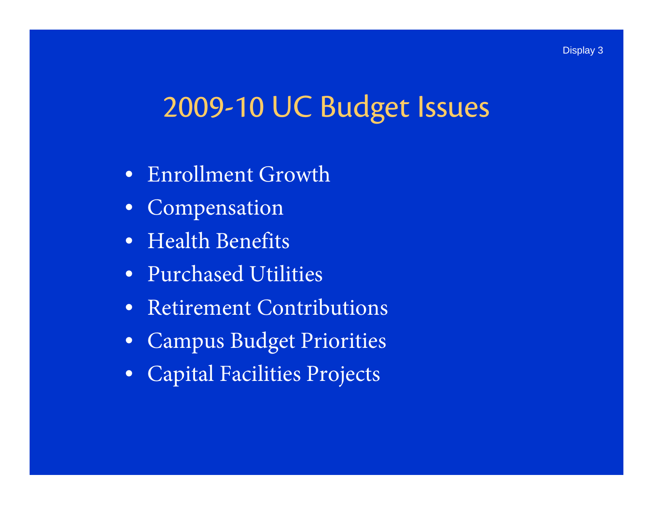## 2009-10 UC Budget Issues

- $\bullet$ Enrollment Growth
- $\bullet$ Compensation
- Health Benefits
- Purchased Utilities
- Retirement Contributions
- $\bullet$ Campus Budget Priorities
- $\bullet$ Capital Facilities Projects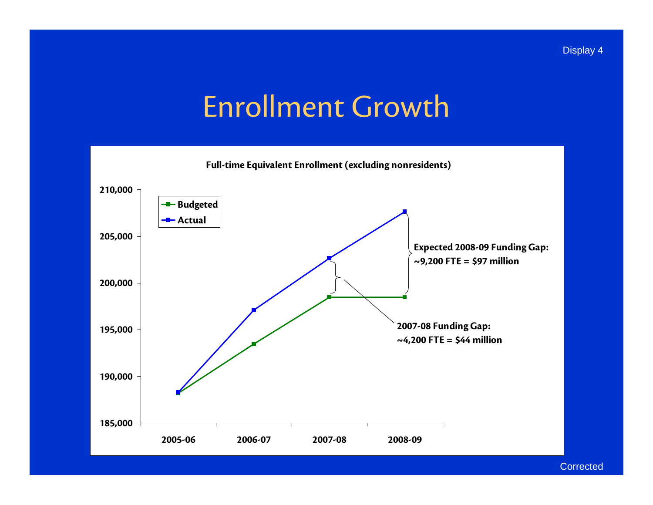## Enrollment Growth



**Corrected**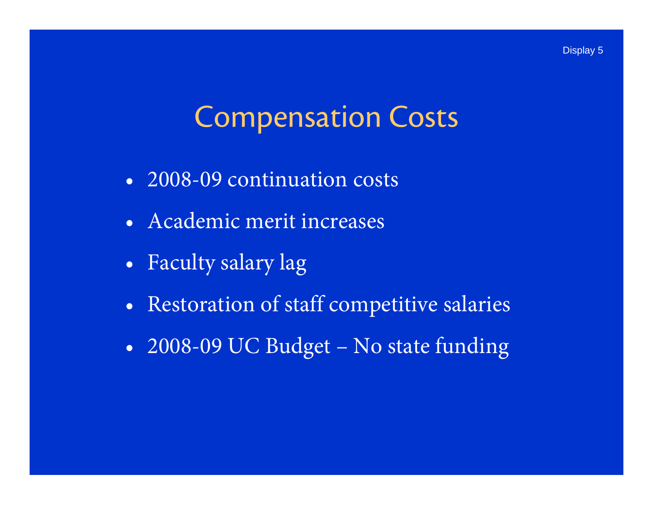### Compensation Costs

- 2008-09 continuation costs
- Academic merit increases
- $\bullet$ Faculty salary lag
- •Restoration of staff competitive salaries
- $\bullet$ 2008-09 UC Budget – No state funding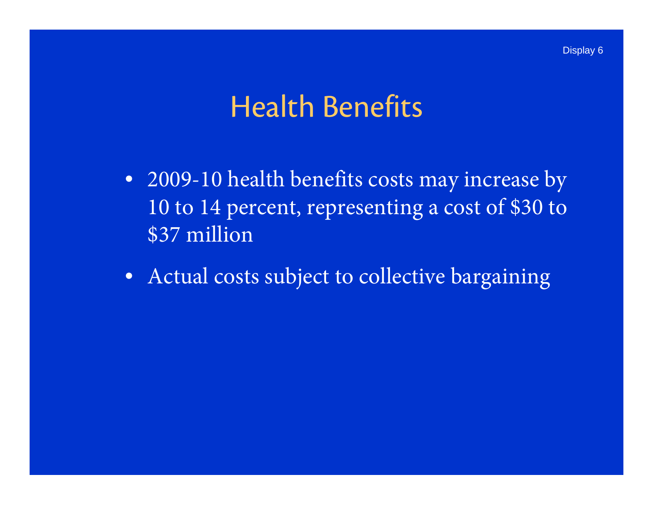#### Health Benefits

- 2009-10 health benefits costs may increase by 10 to 14 percent, representing a cost of \$30 to \$37 million
- Actual costs subject to collective bargaining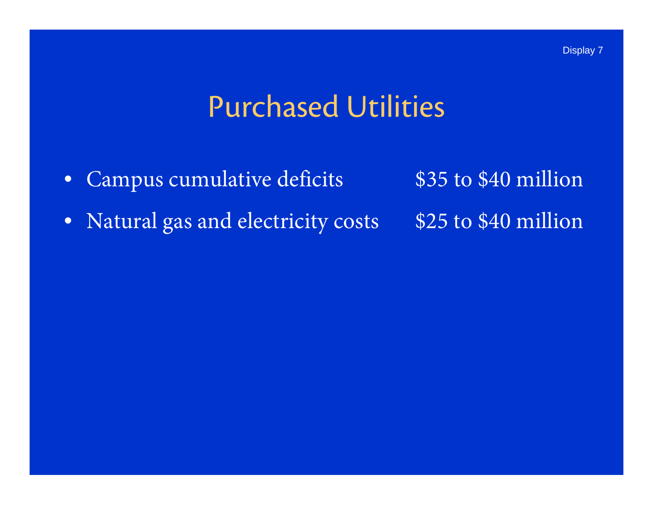## Purchased Utilities

- •Campus cumulative deficits \$35 to \$40 million
- Natural gas and electricity costs \$25 to \$40 million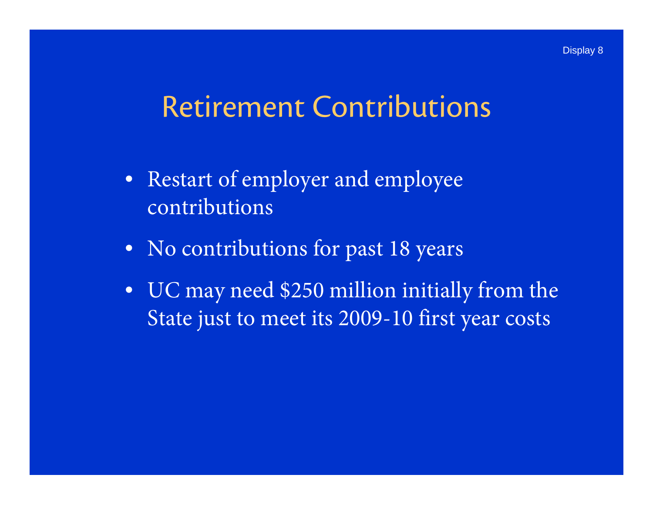#### Retirement Contributions

- Restart of employer and employee contributions
- No contributions for past 18 years
- UC may need \$250 million initially from the State just to meet its 2009-10 first year costs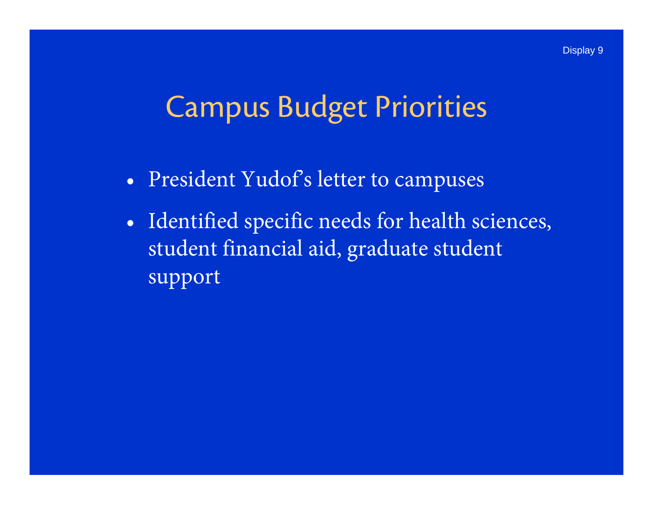#### Campus Budget Priorities

- •President Yudof's letter to campuses
- $\bullet$  Identified specific needs for health sciences, student financial aid, graduate student support